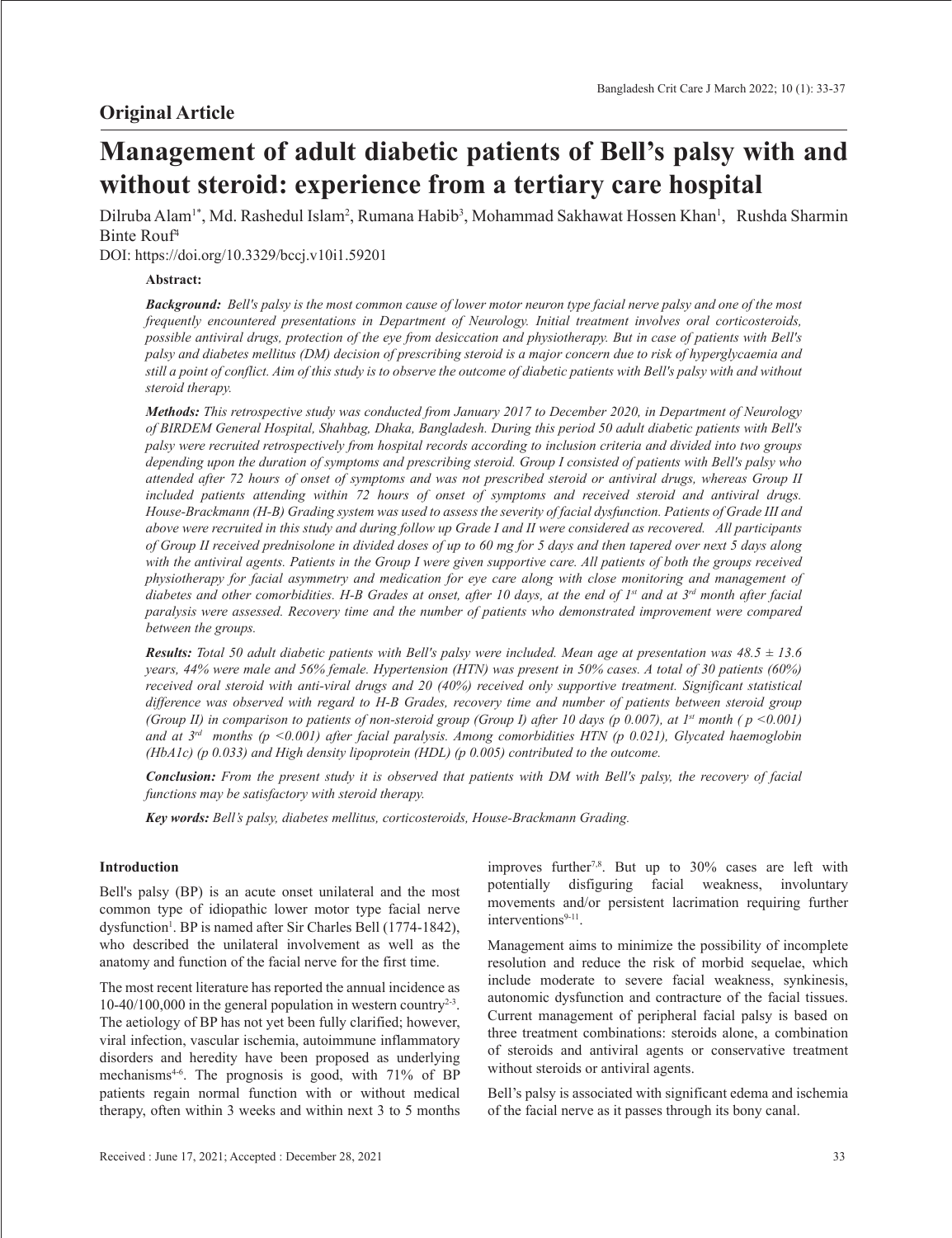# **Management of adult diabetic patients of Bell's palsy with and without steroid: experience from a tertiary care hospital**

Dilruba Alam<sup>1\*</sup>, Md. Rashedul Islam<sup>2</sup>, Rumana Habib<sup>3</sup>, Mohammad Sakhawat Hossen Khan<sup>1</sup>, Rushda Sharmin Binte Rouf4

DOI: https://doi.org/10.3329/bccj.v10i1.59201

# **Abstract:**

*Background: Bell's palsy is the most common cause of lower motor neuron type facial nerve palsy and one of the most frequently encountered presentations in Department of Neurology. Initial treatment involves oral corticosteroids, possible antiviral drugs, protection of the eye from desiccation and physiotherapy. But in case of patients with Bell's palsy and diabetes mellitus (DM) decision of prescribing steroid is a major concern due to risk of hyperglycaemia and still a point of conflict. Aim of this study is to observe the outcome of diabetic patients with Bell's palsy with and without steroid therapy.* 

*Methods: This retrospective study was conducted from January 2017 to December 2020, in Department of Neurology of BIRDEM General Hospital, Shahbag, Dhaka, Bangladesh. During this period 50 adult diabetic patients with Bell's palsy were recruited retrospectively from hospital records according to inclusion criteria and divided into two groups depending upon the duration of symptoms and prescribing steroid. Group I consisted of patients with Bell's palsy who attended after 72 hours of onset of symptoms and was not prescribed steroid or antiviral drugs, whereas Group II included patients attending within 72 hours of onset of symptoms and received steroid and antiviral drugs. House-Brackmann (H-B) Grading system was used to assess the severity of facial dysfunction. Patients of Grade III and above were recruited in this study and during follow up Grade I and II were considered as recovered. All participants of Group II received prednisolone in divided doses of up to 60 mg for 5 days and then tapered over next 5 days along*  with the antiviral agents. Patients in the Group I were given supportive care. All patients of both the groups received *physiotherapy for facial asymmetry and medication for eye care along with close monitoring and management of*  diabetes and other comorbidities. H-B Grades at onset, after 10 days, at the end of 1<sup>st</sup> and at 3<sup>rd</sup> month after facial *paralysis were assessed. Recovery time and the number of patients who demonstrated improvement were compared between the groups.* 

*Results: Total 50 adult diabetic patients with Bell's palsy were included. Mean age at presentation was 48.5 ± 13.6 years, 44% were male and 56% female. Hypertension (HTN) was present in 50% cases. A total of 30 patients (60%) received oral steroid with anti-viral drugs and 20 (40%) received only supportive treatment. Significant statistical difference was observed with regard to H-B Grades, recovery time and number of patients between steroid group (Group II) in comparison to patients of non-steroid group (Group I) after 10 days (p 0.007), at*  $1^s$  *month (p <0.001) and at 3rd months (p <0.001) after facial paralysis. Among comorbidities HTN (p 0.021), Glycated haemoglobin (HbA1c) (p 0.033) and High density lipoprotein (HDL) (p 0.005) contributed to the outcome.*

*Conclusion: From the present study it is observed that patients with DM with Bell's palsy, the recovery of facial functions may be satisfactory with steroid therapy.* 

*Key words: Bell's palsy, diabetes mellitus, corticosteroids, House-Brackmann Grading.*

# **Introduction**

Bell's palsy (BP) is an acute onset unilateral and the most common type of idiopathic lower motor type facial nerve dysfunction<sup>1</sup>. BP is named after Sir Charles Bell (1774-1842), who described the unilateral involvement as well as the anatomy and function of the facial nerve for the first time.

The most recent literature has reported the annual incidence as 10-40/100,000 in the general population in western country<sup>2-3</sup>. The aetiology of BP has not yet been fully clarified; however, viral infection, vascular ischemia, autoimmune inflammatory disorders and heredity have been proposed as underlying mechanisms<sup>4-6</sup>. The prognosis is good, with 71% of BP patients regain normal function with or without medical therapy, often within 3 weeks and within next 3 to 5 months improves further7,8. But up to 30% cases are left with potentially disfiguring facial weakness, involuntary movements and/or persistent lacrimation requiring further interventions $9-11$ .

Management aims to minimize the possibility of incomplete resolution and reduce the risk of morbid sequelae, which include moderate to severe facial weakness, synkinesis, autonomic dysfunction and contracture of the facial tissues. Current management of peripheral facial palsy is based on three treatment combinations: steroids alone, a combination of steroids and antiviral agents or conservative treatment without steroids or antiviral agents.

Bell's palsy is associated with significant edema and ischemia of the facial nerve as it passes through its bony canal.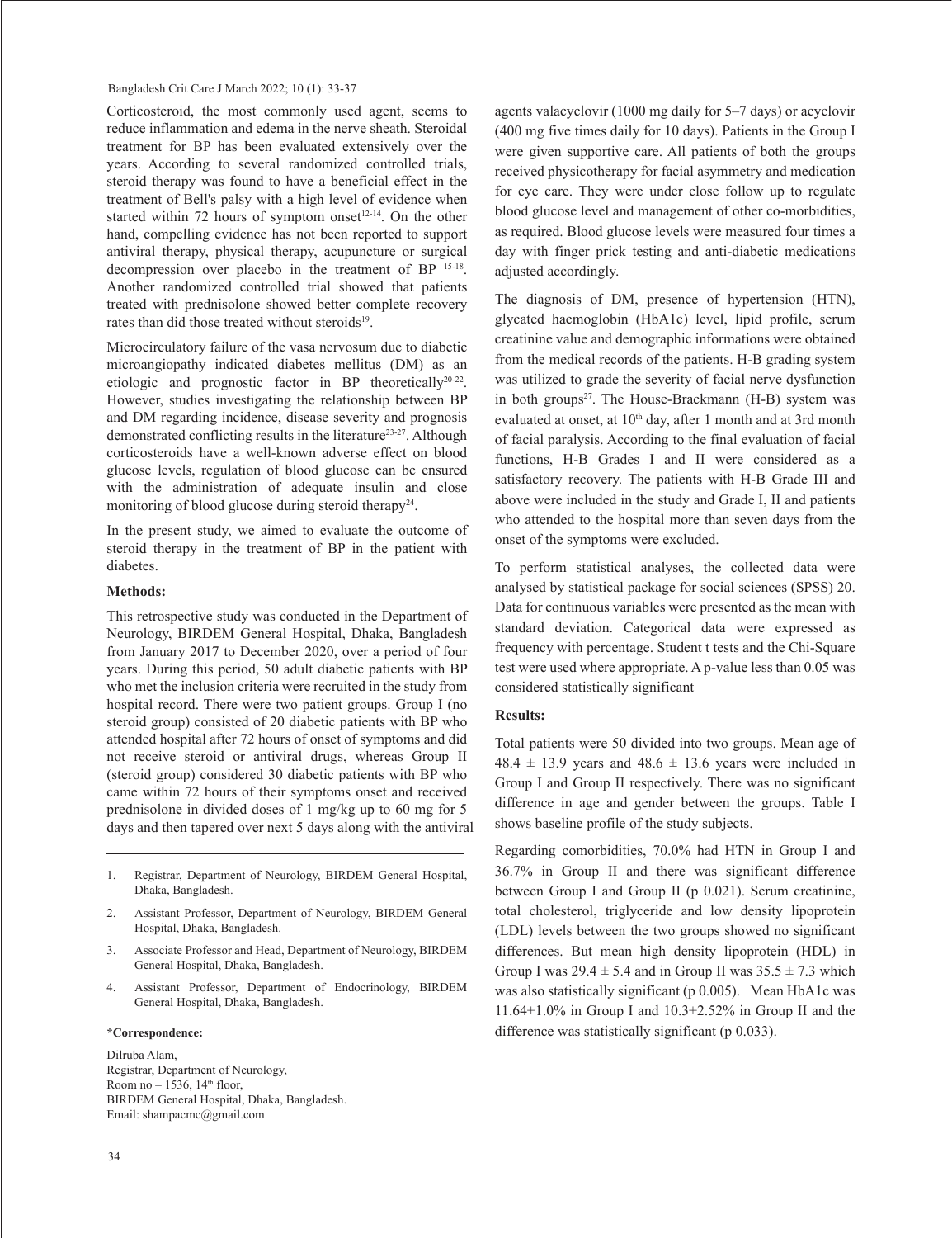Bangladesh Crit Care J March 2022; 10 (1): 33-37

Corticosteroid, the most commonly used agent, seems to reduce inflammation and edema in the nerve sheath. Steroidal treatment for BP has been evaluated extensively over the years. According to several randomized controlled trials, steroid therapy was found to have a beneficial effect in the treatment of Bell's palsy with a high level of evidence when started within 72 hours of symptom onset $12-14$ . On the other hand, compelling evidence has not been reported to support antiviral therapy, physical therapy, acupuncture or surgical decompression over placebo in the treatment of BP 15-18. Another randomized controlled trial showed that patients treated with prednisolone showed better complete recovery rates than did those treated without steroids<sup>19</sup>.

Microcirculatory failure of the vasa nervosum due to diabetic microangiopathy indicated diabetes mellitus (DM) as an etiologic and prognostic factor in BP theoretically20-22. However, studies investigating the relationship between BP and DM regarding incidence, disease severity and prognosis demonstrated conflicting results in the literature<sup>23-27</sup>. Although corticosteroids have a well-known adverse effect on blood glucose levels, regulation of blood glucose can be ensured with the administration of adequate insulin and close monitoring of blood glucose during steroid therapy<sup>24</sup>.

In the present study, we aimed to evaluate the outcome of steroid therapy in the treatment of BP in the patient with diabetes.

## **Methods:**

This retrospective study was conducted in the Department of Neurology, BIRDEM General Hospital, Dhaka, Bangladesh from January 2017 to December 2020, over a period of four years. During this period, 50 adult diabetic patients with BP who met the inclusion criteria were recruited in the study from hospital record. There were two patient groups. Group I (no steroid group) consisted of 20 diabetic patients with BP who attended hospital after 72 hours of onset of symptoms and did not receive steroid or antiviral drugs, whereas Group II (steroid group) considered 30 diabetic patients with BP who came within 72 hours of their symptoms onset and received prednisolone in divided doses of 1 mg/kg up to 60 mg for 5 days and then tapered over next 5 days along with the antiviral

- 1. Registrar, Department of Neurology, BIRDEM General Hospital, Dhaka, Bangladesh.
- 2. Assistant Professor, Department of Neurology, BIRDEM General Hospital, Dhaka, Bangladesh.
- 3. Associate Professor and Head, Department of Neurology, BIRDEM General Hospital, Dhaka, Bangladesh.
- 4. Assistant Professor, Department of Endocrinology, BIRDEM General Hospital, Dhaka, Bangladesh.

#### **\*Correspondence:**

Dilruba Alam, Registrar, Department of Neurology, Room no  $-1536$ ,  $14<sup>th</sup>$  floor, BIRDEM General Hospital, Dhaka, Bangladesh. Email: shampacmc@gmail.com

agents valacyclovir (1000 mg daily for 5–7 days) or acyclovir (400 mg five times daily for 10 days). Patients in the Group I were given supportive care. All patients of both the groups received physicotherapy for facial asymmetry and medication for eye care. They were under close follow up to regulate blood glucose level and management of other co-morbidities, as required. Blood glucose levels were measured four times a day with finger prick testing and anti-diabetic medications adjusted accordingly.

The diagnosis of DM, presence of hypertension (HTN), glycated haemoglobin (HbA1c) level, lipid profile, serum creatinine value and demographic informations were obtained from the medical records of the patients. H-B grading system was utilized to grade the severity of facial nerve dysfunction in both groups<sup>27</sup>. The House-Brackmann  $(H-B)$  system was evaluated at onset, at 10<sup>th</sup> day, after 1 month and at 3rd month of facial paralysis. According to the final evaluation of facial functions, H-B Grades I and II were considered as a satisfactory recovery. The patients with H-B Grade III and above were included in the study and Grade I, II and patients who attended to the hospital more than seven days from the onset of the symptoms were excluded.

To perform statistical analyses, the collected data were analysed by statistical package for social sciences (SPSS) 20. Data for continuous variables were presented as the mean with standard deviation. Categorical data were expressed as frequency with percentage. Student t tests and the Chi-Square test were used where appropriate. A p-value less than 0.05 was considered statistically significant

## **Results:**

Total patients were 50 divided into two groups. Mean age of  $48.4 \pm 13.9$  years and  $48.6 \pm 13.6$  years were included in Group I and Group II respectively. There was no significant difference in age and gender between the groups. Table I shows baseline profile of the study subjects.

Regarding comorbidities, 70.0% had HTN in Group I and 36.7% in Group II and there was significant difference between Group I and Group II (p 0.021). Serum creatinine, total cholesterol, triglyceride and low density lipoprotein (LDL) levels between the two groups showed no significant differences. But mean high density lipoprotein (HDL) in Group I was  $29.4 \pm 5.4$  and in Group II was  $35.5 \pm 7.3$  which was also statistically significant (p 0.005). Mean HbA1c was 11.64 $\pm$ 1.0% in Group I and 10.3 $\pm$ 2.52% in Group II and the difference was statistically significant (p 0.033).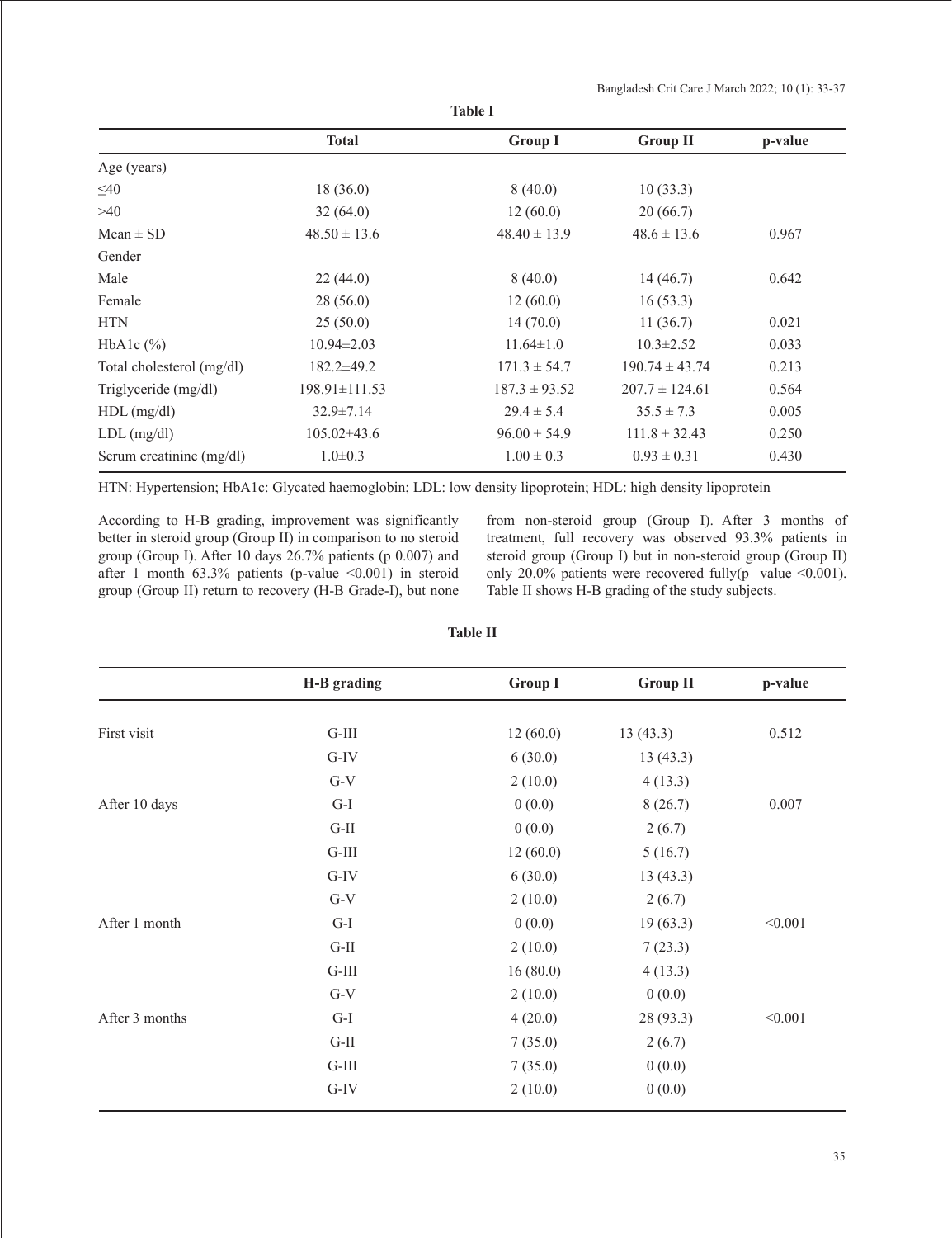|                           | <b>Total</b>        | <b>Group I</b>    | <b>Group II</b>    | p-value |
|---------------------------|---------------------|-------------------|--------------------|---------|
| Age (years)               |                     |                   |                    |         |
| $\leq 40$                 | 18(36.0)            | 8(40.0)           | 10(33.3)           |         |
| >40                       | 32(64.0)            | 12(60.0)          | 20(66.7)           |         |
| $Mean \pm SD$             | $48.50 \pm 13.6$    | $48.40 \pm 13.9$  | $48.6 \pm 13.6$    | 0.967   |
| Gender                    |                     |                   |                    |         |
| Male                      | 22(44.0)            | 8(40.0)           | 14(46.7)           | 0.642   |
| Female                    | 28(56.0)            | 12(60.0)          | 16(53.3)           |         |
| <b>HTN</b>                | 25(50.0)            | 14(70.0)          | 11(36.7)           | 0.021   |
| HbAlc $(\% )$             | $10.94 \pm 2.03$    | $11.64 \pm 1.0$   | $10.3 \pm 2.52$    | 0.033   |
| Total cholesterol (mg/dl) | $182.2\pm 49.2$     | $171.3 \pm 54.7$  | $190.74 \pm 43.74$ | 0.213   |
| Triglyceride (mg/dl)      | $198.91 \pm 111.53$ | $187.3 \pm 93.52$ | $207.7 \pm 124.61$ | 0.564   |
| $HDL$ (mg/dl)             | $32.9 \pm 7.14$     | $29.4 \pm 5.4$    | $35.5 \pm 7.3$     | 0.005   |
| $LDL$ (mg/dl)             | $105.02\pm43.6$     | $96.00 \pm 54.9$  | $111.8 \pm 32.43$  | 0.250   |
| Serum creatinine (mg/dl)  | $1.0 \pm 0.3$       | $1.00 \pm 0.3$    | $0.93 \pm 0.31$    | 0.430   |

**Table I**

HTN: Hypertension; HbA1c: Glycated haemoglobin; LDL: low density lipoprotein; HDL: high density lipoprotein

According to H-B grading, improvement was significantly better in steroid group (Group II) in comparison to no steroid group (Group I). After 10 days 26.7% patients (p 0.007) and after 1 month  $63.3\%$  patients (p-value  $\leq 0.001$ ) in steroid group (Group II) return to recovery (H-B Grade-I), but none

from non-steroid group (Group I). After 3 months of treatment, full recovery was observed 93.3% patients in steroid group (Group I) but in non-steroid group (Group II) only 20.0% patients were recovered fully(p value  $\leq 0.001$ ). Table II shows H-B grading of the study subjects.

| ٠<br>н<br>н<br>ı.<br>۰,<br>v |  |
|------------------------------|--|
|------------------------------|--|

|                | H-B grading | <b>Group I</b> | <b>Group II</b> | p-value |
|----------------|-------------|----------------|-----------------|---------|
|                |             |                |                 |         |
| First visit    | $G-III$     | 12(60.0)       | 13(43.3)        | 0.512   |
|                | $G-IV$      | 6(30.0)        | 13(43.3)        |         |
|                | $G-V$       | 2(10.0)        | 4(13.3)         |         |
| After 10 days  | $G-I$       | 0(0.0)         | 8(26.7)         | 0.007   |
|                | $G-II$      | 0(0.0)         | 2(6.7)          |         |
|                | $G-III$     | 12(60.0)       | 5(16.7)         |         |
|                | $G-IV$      | 6(30.0)        | 13(43.3)        |         |
|                | $G-V$       | 2(10.0)        | 2(6.7)          |         |
| After 1 month  | $G-I$       | 0(0.0)         | 19(63.3)        | < 0.001 |
|                | $G-II$      | 2(10.0)        | 7(23.3)         |         |
|                | $G-III$     | 16(80.0)       | 4(13.3)         |         |
|                | $G-V$       | 2(10.0)        | 0(0.0)          |         |
| After 3 months | $G-I$       | 4(20.0)        | 28 (93.3)       | < 0.001 |
|                | $G-II$      | 7(35.0)        | 2(6.7)          |         |
|                | $G-III$     | 7(35.0)        | 0(0.0)          |         |
|                | $G-IV$      | 2(10.0)        | 0(0.0)          |         |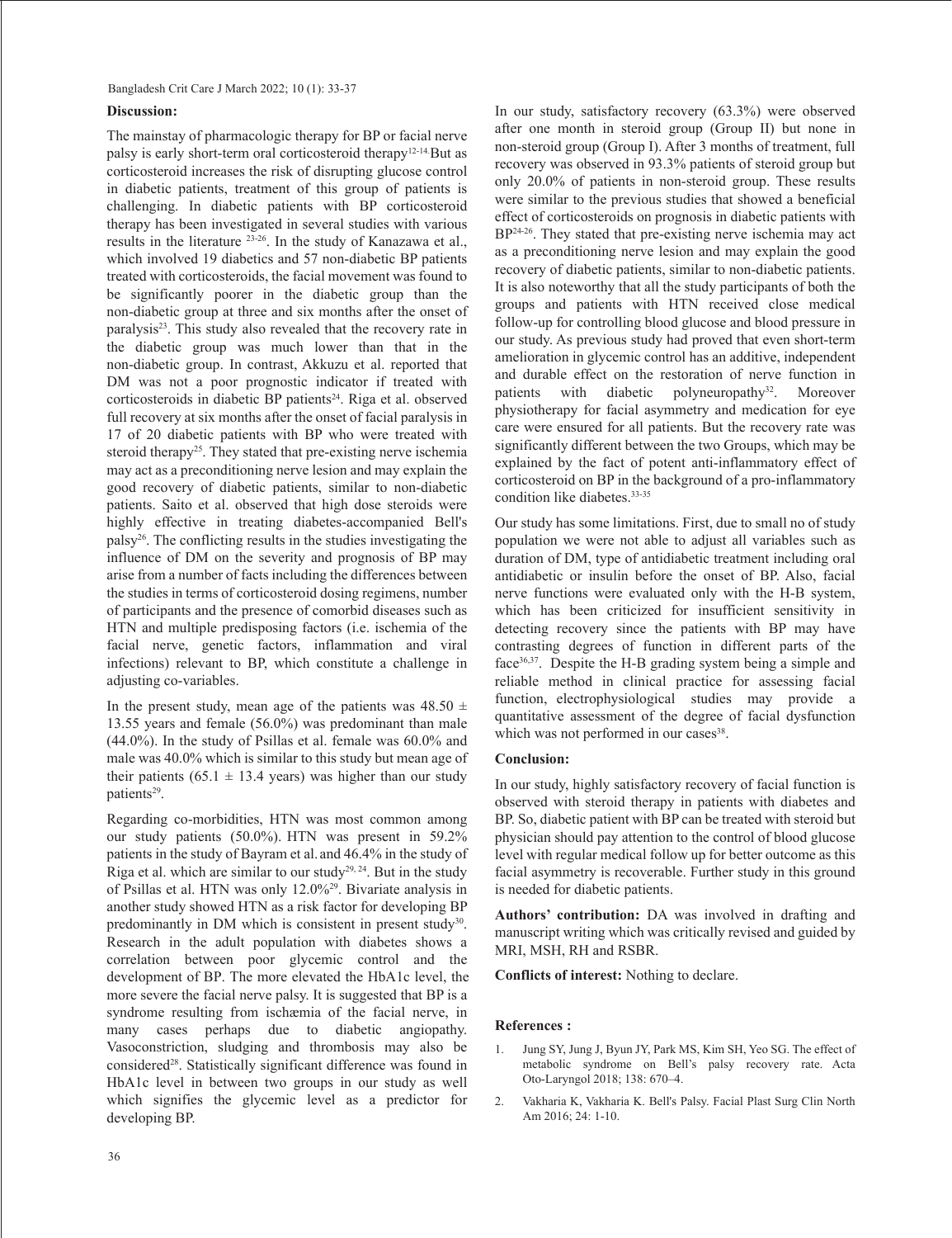## **Discussion:**

The mainstay of pharmacologic therapy for BP or facial nerve palsy is early short-term oral corticosteroid therapy12-14.But as corticosteroid increases the risk of disrupting glucose control in diabetic patients, treatment of this group of patients is challenging. In diabetic patients with BP corticosteroid therapy has been investigated in several studies with various results in the literature  $23-26$ . In the study of Kanazawa et al., which involved 19 diabetics and 57 non-diabetic BP patients treated with corticosteroids, the facial movement was found to be significantly poorer in the diabetic group than the non-diabetic group at three and six months after the onset of paralysis<sup>23</sup>. This study also revealed that the recovery rate in the diabetic group was much lower than that in the non-diabetic group. In contrast, Akkuzu et al. reported that DM was not a poor prognostic indicator if treated with corticosteroids in diabetic BP patients<sup>24</sup>. Riga et al. observed full recovery at six months after the onset of facial paralysis in 17 of 20 diabetic patients with BP who were treated with steroid therapy<sup>25</sup>. They stated that pre-existing nerve ischemia may act as a preconditioning nerve lesion and may explain the good recovery of diabetic patients, similar to non-diabetic patients. Saito et al. observed that high dose steroids were highly effective in treating diabetes-accompanied Bell's palsy26. The conflicting results in the studies investigating the influence of DM on the severity and prognosis of BP may arise from a number of facts including the differences between the studies in terms of corticosteroid dosing regimens, number of participants and the presence of comorbid diseases such as HTN and multiple predisposing factors (i.e. ischemia of the facial nerve, genetic factors, inflammation and viral infections) relevant to BP, which constitute a challenge in adjusting co-variables.

In the present study, mean age of the patients was  $48.50 \pm$ 13.55 years and female (56.0%) was predominant than male (44.0%). In the study of Psillas et al. female was 60.0% and male was 40.0% which is similar to this study but mean age of their patients (65.1  $\pm$  13.4 years) was higher than our study patients<sup>29</sup>.

Regarding co-morbidities, HTN was most common among our study patients (50.0%). HTN was present in 59.2% patients in the study of Bayram et al. and 46.4% in the study of Riga et al. which are similar to our study<sup>29, 24</sup>. But in the study of Psillas et al. HTN was only 12.0%29. Bivariate analysis in another study showed HTN as a risk factor for developing BP predominantly in DM which is consistent in present study<sup>30</sup>. Research in the adult population with diabetes shows a correlation between poor glycemic control and the development of BP. The more elevated the HbA1c level, the more severe the facial nerve palsy. It is suggested that BP is a syndrome resulting from ischæmia of the facial nerve, in many cases perhaps due to diabetic angiopathy. Vasoconstriction, sludging and thrombosis may also be considered<sup>28</sup>. Statistically significant difference was found in HbA1c level in between two groups in our study as well which signifies the glycemic level as a predictor for developing BP.

In our study, satisfactory recovery (63.3%) were observed after one month in steroid group (Group II) but none in non-steroid group (Group I). After 3 months of treatment, full recovery was observed in 93.3% patients of steroid group but only 20.0% of patients in non-steroid group. These results were similar to the previous studies that showed a beneficial effect of corticosteroids on prognosis in diabetic patients with BP<sup>24-26</sup>. They stated that pre-existing nerve ischemia may act as a preconditioning nerve lesion and may explain the good recovery of diabetic patients, similar to non-diabetic patients. It is also noteworthy that all the study participants of both the groups and patients with HTN received close medical follow-up for controlling blood glucose and blood pressure in our study. As previous study had proved that even short-term amelioration in glycemic control has an additive, independent and durable effect on the restoration of nerve function in patients with diabetic polyneuropathy<sup>32</sup>. Moreover physiotherapy for facial asymmetry and medication for eye care were ensured for all patients. But the recovery rate was significantly different between the two Groups, which may be explained by the fact of potent anti-inflammatory effect of corticosteroid on BP in the background of a pro-inflammatory condition like diabetes.<sup>33-35</sup>

Our study has some limitations. First, due to small no of study population we were not able to adjust all variables such as duration of DM, type of antidiabetic treatment including oral antidiabetic or insulin before the onset of BP. Also, facial nerve functions were evaluated only with the H-B system, which has been criticized for insufficient sensitivity in detecting recovery since the patients with BP may have contrasting degrees of function in different parts of the face36,37. Despite the H-B grading system being a simple and reliable method in clinical practice for assessing facial function, electrophysiological studies may provide a quantitative assessment of the degree of facial dysfunction which was not performed in our cases<sup>38</sup>.

#### **Conclusion:**

In our study, highly satisfactory recovery of facial function is observed with steroid therapy in patients with diabetes and BP. So, diabetic patient with BP can be treated with steroid but physician should pay attention to the control of blood glucose level with regular medical follow up for better outcome as this facial asymmetry is recoverable. Further study in this ground is needed for diabetic patients.

**Authors' contribution:** DA was involved in drafting and manuscript writing which was critically revised and guided by MRI, MSH, RH and RSBR.

**Conflicts of interest:** Nothing to declare.

#### **References :**

- 1. Jung SY, Jung J, Byun JY, Park MS, Kim SH, Yeo SG. The effect of metabolic syndrome on Bell's palsy recovery rate. Acta Oto-Laryngol 2018; 138: 670–4.
- 2. Vakharia K, Vakharia K. Bell's Palsy. Facial Plast Surg Clin North Am 2016; 24: 1-10.